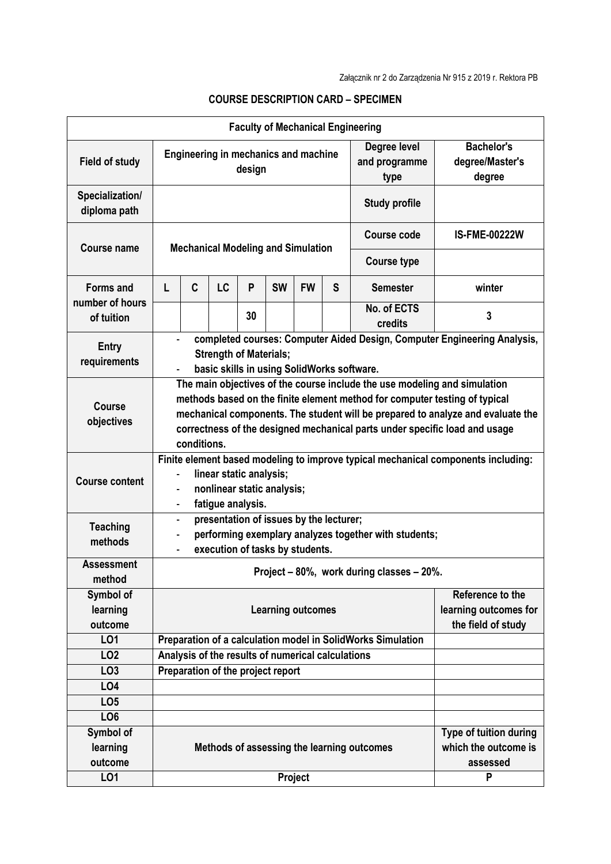|                                     |                                                                                                                                                                                                                                                                                                                                         |   |           |    |           |           |   | <b>Faculty of Mechanical Engineering</b>                    |                                                |  |  |  |
|-------------------------------------|-----------------------------------------------------------------------------------------------------------------------------------------------------------------------------------------------------------------------------------------------------------------------------------------------------------------------------------------|---|-----------|----|-----------|-----------|---|-------------------------------------------------------------|------------------------------------------------|--|--|--|
| <b>Field of study</b>               | Degree level<br><b>Engineering in mechanics and machine</b><br>and programme<br>design<br>type                                                                                                                                                                                                                                          |   |           |    |           |           |   | <b>Bachelor's</b><br>degree/Master's<br>degree              |                                                |  |  |  |
| Specialization/<br>diploma path     | <b>Study profile</b>                                                                                                                                                                                                                                                                                                                    |   |           |    |           |           |   |                                                             |                                                |  |  |  |
| <b>Course name</b>                  | <b>Mechanical Modeling and Simulation</b>                                                                                                                                                                                                                                                                                               |   |           |    |           |           |   | <b>Course code</b>                                          | <b>IS-FME-00222W</b>                           |  |  |  |
|                                     |                                                                                                                                                                                                                                                                                                                                         |   |           |    |           |           |   | <b>Course type</b>                                          |                                                |  |  |  |
| <b>Forms and</b><br>number of hours | L                                                                                                                                                                                                                                                                                                                                       | C | <b>LC</b> | P  | <b>SW</b> | <b>FW</b> | S | <b>Semester</b>                                             | winter                                         |  |  |  |
| of tuition                          |                                                                                                                                                                                                                                                                                                                                         |   |           | 30 |           |           |   | No. of ECTS<br>credits                                      | 3                                              |  |  |  |
| <b>Entry</b><br>requirements        | completed courses: Computer Aided Design, Computer Engineering Analysis,<br><b>Strength of Materials;</b><br>basic skills in using SolidWorks software.                                                                                                                                                                                 |   |           |    |           |           |   |                                                             |                                                |  |  |  |
| <b>Course</b><br>objectives         | The main objectives of the course include the use modeling and simulation<br>methods based on the finite element method for computer testing of typical<br>mechanical components. The student will be prepared to analyze and evaluate the<br>correctness of the designed mechanical parts under specific load and usage<br>conditions. |   |           |    |           |           |   |                                                             |                                                |  |  |  |
| <b>Course content</b>               | Finite element based modeling to improve typical mechanical components including:<br>linear static analysis;<br>nonlinear static analysis;<br>$\overline{\phantom{0}}$<br>fatigue analysis.<br>$\overline{\phantom{a}}$                                                                                                                 |   |           |    |           |           |   |                                                             |                                                |  |  |  |
| <b>Teaching</b><br>methods          | presentation of issues by the lecturer;<br>$\overline{\phantom{a}}$<br>performing exemplary analyzes together with students;<br>-<br>execution of tasks by students.                                                                                                                                                                    |   |           |    |           |           |   |                                                             |                                                |  |  |  |
| <b>Assessment</b><br>method         |                                                                                                                                                                                                                                                                                                                                         |   |           |    |           |           |   | Project - 80%, work during classes - 20%.                   |                                                |  |  |  |
| Symbol of<br>learning<br>outcome    | Reference to the<br>learning outcomes for<br><b>Learning outcomes</b><br>the field of study                                                                                                                                                                                                                                             |   |           |    |           |           |   |                                                             |                                                |  |  |  |
| LO1                                 |                                                                                                                                                                                                                                                                                                                                         |   |           |    |           |           |   | Preparation of a calculation model in SolidWorks Simulation |                                                |  |  |  |
| LO <sub>2</sub>                     | Analysis of the results of numerical calculations                                                                                                                                                                                                                                                                                       |   |           |    |           |           |   |                                                             |                                                |  |  |  |
| LO <sub>3</sub>                     | Preparation of the project report                                                                                                                                                                                                                                                                                                       |   |           |    |           |           |   |                                                             |                                                |  |  |  |
| LO <sub>4</sub>                     |                                                                                                                                                                                                                                                                                                                                         |   |           |    |           |           |   |                                                             |                                                |  |  |  |
| LO <sub>5</sub>                     |                                                                                                                                                                                                                                                                                                                                         |   |           |    |           |           |   |                                                             |                                                |  |  |  |
| LO <sub>6</sub>                     |                                                                                                                                                                                                                                                                                                                                         |   |           |    |           |           |   |                                                             |                                                |  |  |  |
| Symbol of                           |                                                                                                                                                                                                                                                                                                                                         |   |           |    |           |           |   |                                                             | Type of tuition during<br>which the outcome is |  |  |  |
| learning<br>outcome                 | Methods of assessing the learning outcomes<br>assessed                                                                                                                                                                                                                                                                                  |   |           |    |           |           |   |                                                             |                                                |  |  |  |
| LO1                                 |                                                                                                                                                                                                                                                                                                                                         |   |           |    |           | Project   |   | P                                                           |                                                |  |  |  |

## **COURSE DESCRIPTION CARD – SPECIMEN**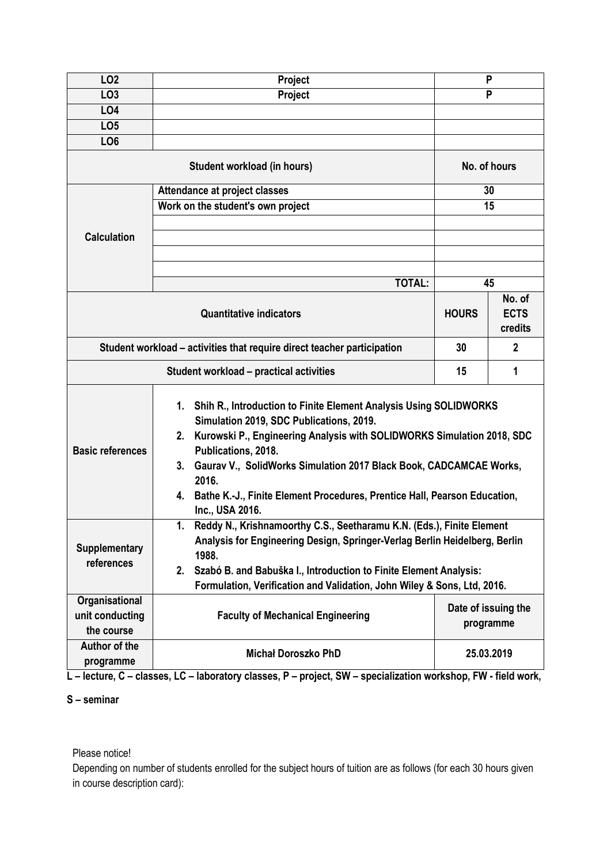| LO <sub>2</sub>                                                         | Project                                                                                                                                                                                                                                                                                                                                                                                                      | P                                |        |  |  |  |  |
|-------------------------------------------------------------------------|--------------------------------------------------------------------------------------------------------------------------------------------------------------------------------------------------------------------------------------------------------------------------------------------------------------------------------------------------------------------------------------------------------------|----------------------------------|--------|--|--|--|--|
| LO <sub>3</sub>                                                         | Project                                                                                                                                                                                                                                                                                                                                                                                                      | P                                |        |  |  |  |  |
| LO4                                                                     |                                                                                                                                                                                                                                                                                                                                                                                                              |                                  |        |  |  |  |  |
| LO <sub>5</sub>                                                         |                                                                                                                                                                                                                                                                                                                                                                                                              |                                  |        |  |  |  |  |
| LO <sub>6</sub>                                                         |                                                                                                                                                                                                                                                                                                                                                                                                              |                                  |        |  |  |  |  |
|                                                                         | No. of hours                                                                                                                                                                                                                                                                                                                                                                                                 |                                  |        |  |  |  |  |
|                                                                         | Attendance at project classes                                                                                                                                                                                                                                                                                                                                                                                | 30                               |        |  |  |  |  |
|                                                                         | Work on the student's own project                                                                                                                                                                                                                                                                                                                                                                            | 15                               |        |  |  |  |  |
|                                                                         |                                                                                                                                                                                                                                                                                                                                                                                                              |                                  |        |  |  |  |  |
| <b>Calculation</b>                                                      |                                                                                                                                                                                                                                                                                                                                                                                                              |                                  |        |  |  |  |  |
|                                                                         |                                                                                                                                                                                                                                                                                                                                                                                                              |                                  |        |  |  |  |  |
|                                                                         |                                                                                                                                                                                                                                                                                                                                                                                                              |                                  |        |  |  |  |  |
|                                                                         | <b>TOTAL:</b>                                                                                                                                                                                                                                                                                                                                                                                                | 45                               |        |  |  |  |  |
|                                                                         |                                                                                                                                                                                                                                                                                                                                                                                                              |                                  | No. of |  |  |  |  |
|                                                                         | <b>HOURS</b>                                                                                                                                                                                                                                                                                                                                                                                                 | <b>ECTS</b>                      |        |  |  |  |  |
|                                                                         |                                                                                                                                                                                                                                                                                                                                                                                                              | credits                          |        |  |  |  |  |
| Student workload - activities that require direct teacher participation | 30                                                                                                                                                                                                                                                                                                                                                                                                           | $\mathbf{2}$                     |        |  |  |  |  |
|                                                                         | 15                                                                                                                                                                                                                                                                                                                                                                                                           | 1                                |        |  |  |  |  |
| <b>Basic references</b>                                                 | 1. Shih R., Introduction to Finite Element Analysis Using SOLIDWORKS<br>Simulation 2019, SDC Publications, 2019.<br>Kurowski P., Engineering Analysis with SOLIDWORKS Simulation 2018, SDC<br>2.<br>Publications, 2018.<br>3. Gaurav V., SolidWorks Simulation 2017 Black Book, CADCAMCAE Works,<br>2016.<br>4. Bathe K.-J., Finite Element Procedures, Prentice Hall, Pearson Education,<br>Inc., USA 2016. |                                  |        |  |  |  |  |
| <b>Supplementary</b><br>references                                      | Reddy N., Krishnamoorthy C.S., Seetharamu K.N. (Eds.), Finite Element<br>1.<br>Analysis for Engineering Design, Springer-Verlag Berlin Heidelberg, Berlin<br>1988.<br>Szabó B. and Babuška I., Introduction to Finite Element Analysis:<br>2.<br>Formulation, Verification and Validation, John Wiley & Sons, Ltd, 2016.                                                                                     |                                  |        |  |  |  |  |
| Organisational<br>unit conducting<br>the course                         | <b>Faculty of Mechanical Engineering</b>                                                                                                                                                                                                                                                                                                                                                                     | Date of issuing the<br>programme |        |  |  |  |  |
| Author of the<br>programme                                              | <b>Michał Doroszko PhD</b><br>25.03.2019                                                                                                                                                                                                                                                                                                                                                                     |                                  |        |  |  |  |  |

**L – lecture, C – classes, LC – laboratory classes, P – project, SW – specialization workshop, FW - field work,**

## **S – seminar**

## Please notice!

Depending on number of students enrolled for the subject hours of tuition are as follows (for each 30 hours given in course description card):